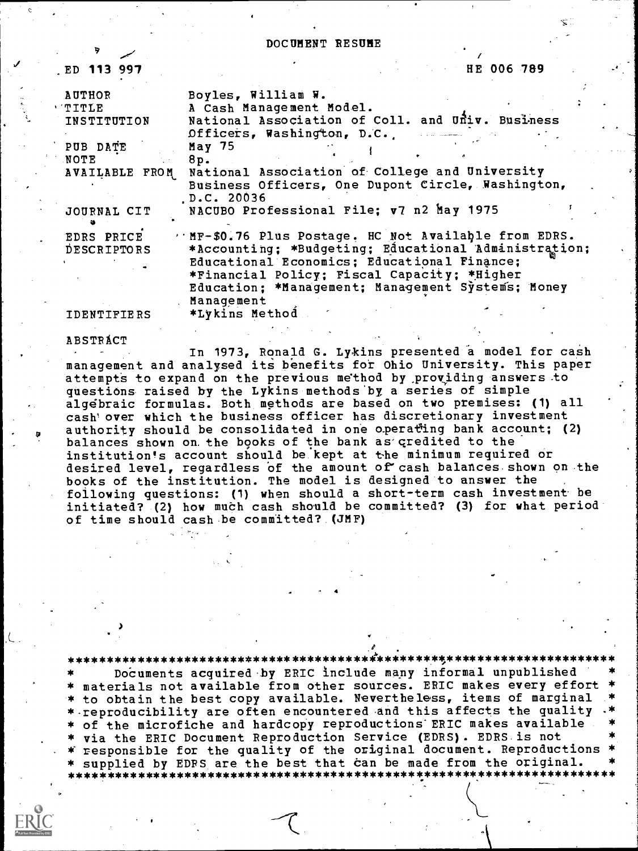#### DOCUMENT RESUME

HE 006 789 ED 113 997 Boyles, William W. **AUTHOR** A Cash Management Model. TITLE National Association of Coll. and Univ. Business INSTITUTION Officers, Washington, D.C.  $May<sub>75</sub>$ PUB DATE **NOTE** 8p. **AVAILABLE FROM** National Association of College and University Business Officers, One Dupont Circle, Washington, D.C. 20036 NACUBO Professional File; v7 n2 May 1975 JOURNAL CIT MF-\$0.76 Plus Postage. HC Not Available from EDRS. **EDRS PRICE** \*Accounting; \*Budgeting; Educational Administration; DESCRIPTORS Educational Economics; Educational Finance; \*Financial Policy; Fiscal Capacity; \*Higher Education; \*Management; Management Systems; Money Management \*Lykins Method **IDENTIFIERS** 

**ABSTRACT** 

In 1973, Ronald G. Lykins presented a model for cash management and analysed its benefits for Ohio University. This paper attempts to expand on the previous method by providing answers to questions raised by the Lykins methods by a series of simple algebraic formulas. Both methods are based on two premises: (1) all cash' over which the business officer has discretionary investment authority should be consolidated in one operating bank account; (2) balances shown on the books of the bank as credited to the institution's account should be kept at the minimum required or desired level, regardless of the amount of cash balances shown on the books of the institution. The model is designed to answer the following questions: (1) when should a short-term cash investment be initiated? (2) how much cash should be committed? (3) for what period of time should cash be committed? (JMF)

Documents acquired by ERIC include many informal unpublished \* materials not available from other sources. ERIC makes every effort<br>\* to obtain the best copy available. Nevertheless, items of marginal \* reproducibility are often encountered and this affects the quality \* of the microfiche and hardcopy reproductions ERIC makes available \* via the ERIC Document Reproduction Service (EDRS). EDRS is not \* responsible for the quality of the original document. Reproductions \* supplied by EDPS are the best that can be made from the original. \*\*\*\*\*\*\*\*\* \*\*\*\*\*\*\*\*\*\*\*\*\*\*\*\*\*\*\*\*\*\*\*\*\*\*\*\*\* \*\*\*\*\*\*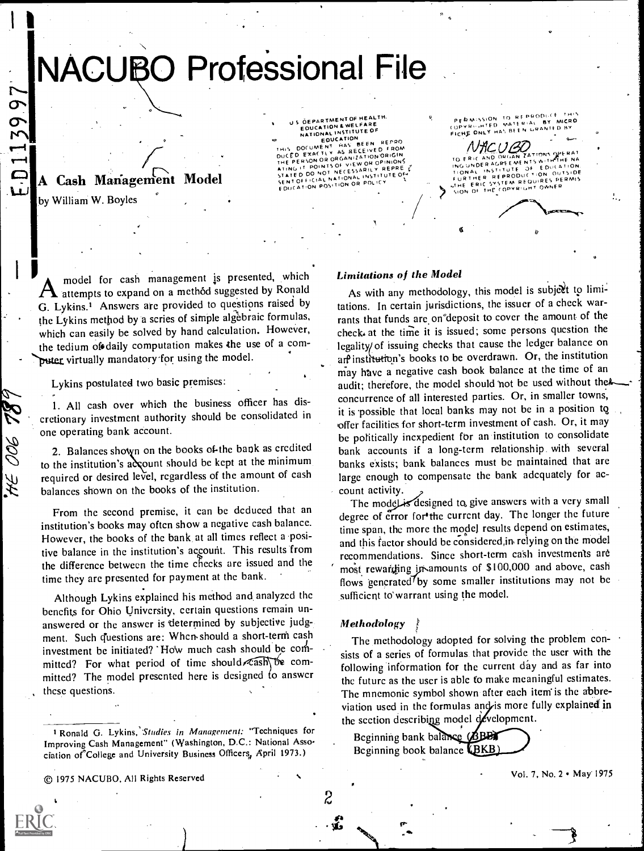# **NACUBO Professional File**

# A Cash Management Model

by William W. Boyles

D113997

HE OOG TA

**OEPARTMENT OF HEALTH** DETAK IMENTISTICALE<br>EQUCATION & WELFARE<br>NATIONAL INSTITUTE OF EQUEATION VED FROM AS RECE ORGANIZATION ORIGIN CED EXAC  $6.50000R$ VIEW OR OPINIONS POINTS OF NOT NECESSARILY REPRE  $\frac{10}{15}$  DO ICIAL NATIONAL INSTITUTE OF OR POLICY **EDUCATION POSITION** 

PERMISSION TO RES OPYRIUMTED FICHE ONLY HAS BEE

NACUBO ERIC ЮÊ  $0.0141$  $T + ON$ HE COPYRIGHT OWNER SION OF

model for cash management is presented, which  $\boldsymbol{\mathcal{H}}$  attempts to expand on a method suggested by Ronald G. Lykins.<sup>1</sup> Answers are provided to questions raised by the Lykins method by a scries of simple algebraic formulas, which can easily be solved by hand calculation. However, the tedium of daily computation makes the use of a computer virtually mandatory for using the model.

Lykins postulated two basic premises:

1. All cash over which the business officer has discretionary investment authority should be consolidated in one operating bank account.

2. Balances shown on the books of the bank as credited to the institution's account should be kept at the minimum required or desired level, regardless of the amount of cash balances shown on the books of the institution.

From the second premise, it can be deduced that an institution's books may often show a negative cash balance. However, the books of the bank at all times reflect a positive balance in the institution's account. This results from the difference between the time checks are issued and the time they are presented for payment at the bank.

Although Lykins explained his method and analyzed the benefits for Ohio University, certain questions remain unanswered or the answer is determined by subjective judgment. Such questions are: When should a short-term cash investment be initiated? How much cash should be committed? For what period of time should cash be committed? The model presented here is designed to answer these questions.

## **Limitations of the Model**

As with any methodology, this model is subject to limitations. In certain jurisdictions, the issuer of a check warrants that funds are on deposit to cover the amount of the check at the time it is issued; some persons question the legality/ of issuing checks that cause the ledger balance on are institution's books to be overdrawn. Or, the institution may have a negative cash book balance at the time of an audit; therefore, the model should not be used without the concurrence of all interested parties. Or, in smaller towns, it is possible that local banks may not be in a position to offer facilities for short-term investment of cash. Or, it may be politically incxpedient for an institution to consolidate bank accounts if a long-term relationship with several banks exists; bank balances must be maintained that are large enough to compensate the bank adcquately for account activity.

The model is designed to give answers with a very small degree of error for the current day. The longer the future time span, the more the model results depend on estimates, and this factor should be considered, in relying on the model recommendations. Since short-term cash investments are most rewarding in amounts of \$100,000 and above, cash flows generated<sup>7</sup>by some smaller institutions may not be sufficient to warrant using the model.

#### **Methodology**

The methodology adopted for solving the problem consists of a series of formulas that provide the user with the following information for the current day and as far into the future as the user is able to make meaningful estimates. The mnemonic symbol shown after each item is the abbreviation used in the formulas and is more fully explained in the section describing model development.

Beginning bank balance (BBB) Beginning book balance (BKB)



2

Vol. 7, No. 2 . May 1975

<sup>&</sup>lt;sup>1</sup> Ronald G. Lykins, Studies in Management: "Techniques for Improving Cash Management" (Washington, D.C.: National Association of College and University Business Officers, April 1973.)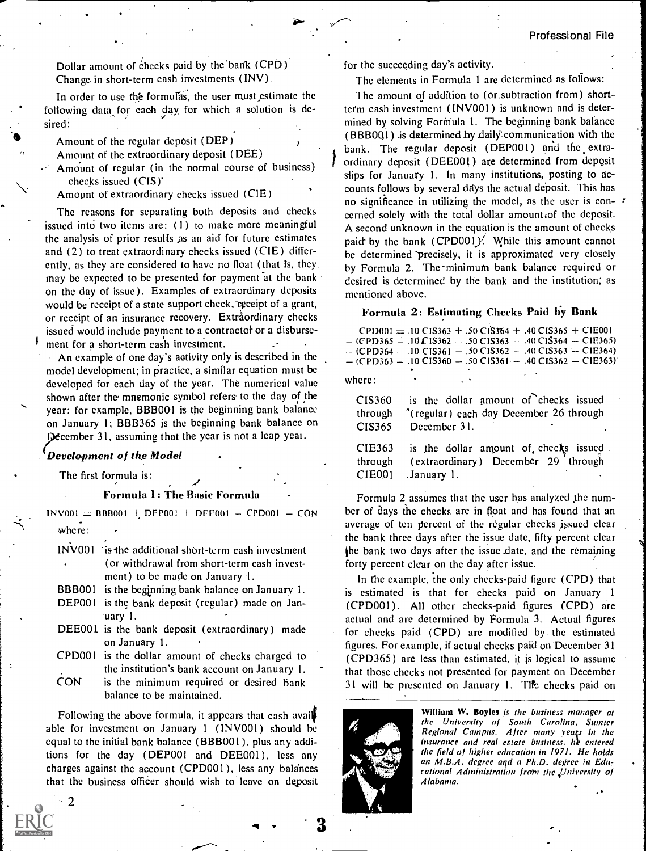Dollar amount of checks paid by the bank (CPD) Change in short-term cash investments (INV)

In order to use the formulas, the user must estimate the following data for each day for which a solution is desired:

Amount of the regular deposit (DEP )

Amount of the extraordinary deposit (DEE)

Amount of regular (in the normal course of business) checks issued (CIS)'

 $\mathcal{V}$ 

Amount of extraordinary checks issued (CIE)

The reasons for separating both deposits and checks issued into two items are: (1) to make more meaningful the analysis of prior results as an aid for future estimates and (2) to treat extraordinary checks issued (CIE) differently, as they are considered to have no float (that is, they may be expected to be presented for payment at the bank on the day of issue ). Examples of extraordinary deposits would be receipt of a state support check, receipt of a grant, or receipt of an insurance recovery. Extraordinary checks issued would include payment to a contractor or a disbursement for a short-term cash investment.

An example of one day's activity only is described in the model development; in practice, a similar equation must be developed for each day of the year. The numerical value shown after the mnemonic symbol refers to the day of the year: for example, BBB001 is the beginning bank balance on January 1; BBB365 is the beginning bank balance on December 31, assuming that the year is not a leap year.

#### Development of the Model

The first formula is:

2

#### Formula 1: The Basic Formula

 $INV001 = BBB001 + DEPO01 + DEEO01 - CPDO01 - CON$ where:

INV001 is-the additional short-term cash investment (or withdrawal from short-term cash investment) to be made on January I.

- BBB001 is the beginning bank balance on January 1.
- DEP001 is the bank deposit (regular) made on January 1.
- DEE001 is the bank deposit (extraordinary) made on January 1.
- CPD001 is the dollar amount of checks charged to the institution's bank account on January 1.
- CON is the minimum required or desired bank balance to be maintained.

Following the above formula, it appears that cash avail able for investment on January <sup>1</sup> (INV001) should he equal to the initial bank balance ( BBB001 ), plus any additions for the day (DEP001 and DEE001), less any charges against the account (CPD001 ), less any balances that the business officer should wish to leave on deposit for the succeeding day's activity.

The elements in Formula 1 are determined as follows:

The amount of addition to (or.subtraction from) shortterm cash investment (INV001) is unknown and is determined by solving Formula 1. The beginning bank balance  $(BBB0Q1)$  is determined by daily communication with the bank. The regular deposit (DEP001) and the extraordinary deposit (DEE001) are determined from deposit slips for January 1. In many institutions, posting to accounts follows by several days the actual deposit. This has no significance in utilizing the model, as the user is con-fcerned solely with the total dollar amount of the deposit. A second unknown in the equation is the amount of checks paid by the bank (CPD001). While this amount cannot be determined precisely, it is approximated very closely by Formula 2. The-minimum bank balance required or desired is determined by the bank and the institution; as mentioned above.

#### Formula 2: Estimating Checks Paid by Bank

|                                    | $CPD001 = .10 C15363 + .50 C15364 + .40 C15365 + C1E001$<br>$-(CPD365 - .10 \Gamma 1S362 - .50 \Gamma 1S363 - .40 \Gamma 1S364 - \Gamma 1E365)$<br>$-(CPD364 - .10 C1S361 - .50 C1S362 - .40 C1S363 - C1E364)$<br>$-(CPD363 - .10 C1S360 - .50 C1S361 - .40 C1S362 - C1E363)$ |
|------------------------------------|-------------------------------------------------------------------------------------------------------------------------------------------------------------------------------------------------------------------------------------------------------------------------------|
|                                    |                                                                                                                                                                                                                                                                               |
| where:                             |                                                                                                                                                                                                                                                                               |
| CIS360<br>through<br>CIS365        | is the dollar amount of checks issued<br><sup>2</sup> (regular) each day December 26 through<br>December 31.                                                                                                                                                                  |
| CIE363<br>through<br><b>CIE001</b> | is the dollar amount of checks issued.<br>(extraordinary) December 29 through<br>January 1.                                                                                                                                                                                   |
|                                    |                                                                                                                                                                                                                                                                               |

Formula 2 assumes that the user has analyzed the number of days the checks are in float and has found that an average of ten percent of the regular checks issued clear the bank three days after the issue date, fifty percent clear the bank two days after the issue date, and the remaining forty percent clear on the day after issue.

In the example, the only checks-paid figure (CPD) that is estimated is that for checks paid on January <sup>1</sup> (CPD001). All other checks-paid figures (CPD) are actual and are determined by Formula 3. Actual figures for checks paid (CPD) are modified by the estimated figures. For example, if actual checks paid on December 31 (CPD365) are less than estimated, it is logical to assume that those checks not presented for payment on December 31 will be presented on January 1. The checks paid on



William W. Boyles is the business manager at the University of South Carolina, Sumter Regional Campus. After many years in the insurance and real estate business, he entered the field of higher education in 1971. He holds an M.B.A. degree and a Ph.D. degree in Educational Administration from the University of Alabama.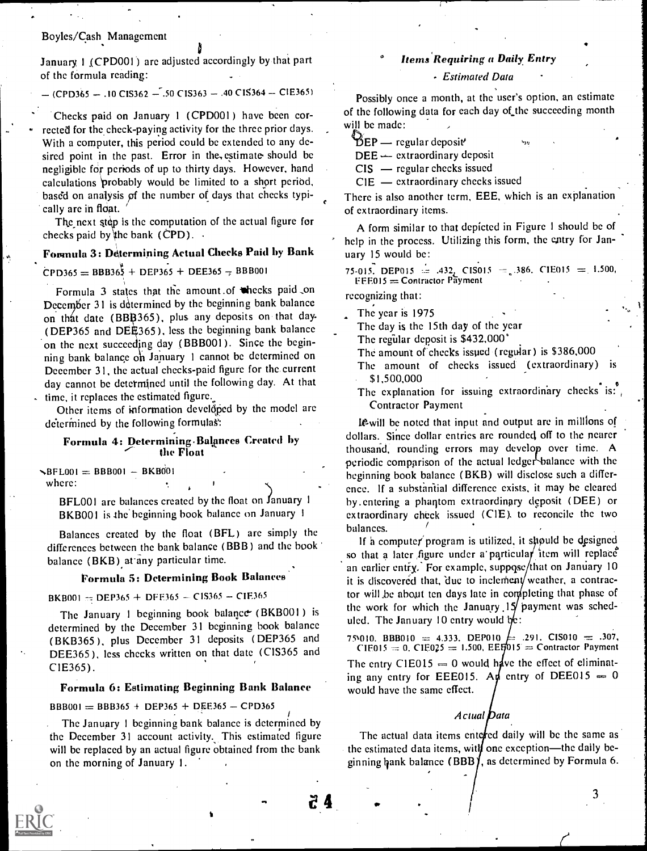#### Boyles/Cash Management

January 1 (CPD001) are adjusted accordingly by that part of the formula reading:

 $(CPD365 - .10 C1S362 - .50 C1S363 - .40 C1S364 - C1E365)$ 

Checks paid on January 1 (CPD001) have been corrected for the check-paying activity for the three prior days. With a computer, this period could be extended to any desired point in the past. Error in the, estimate should be negligible for periods of up to thirty days. However, hand calculations 'probably would be limited to a short period, based on analysis of the number of days that checks typically are in float. '

The next step is the computation of the actual figure for checks paid by the bank (CPD).  $\cdot$ 

# Formula 3: Determining Actual Checks Paid by Bank

#### $CPD365 = BBB36\frac{1}{2} + DEP365 + DEE365 - BBB001$

Formula 3 states that the amount of thecks paid on December 31 is determined by the beginning bank balance on that date (BBB365), plus any deposits on that day-(DEP365 and DEE365), less the beginning bank balance on the next succeeding day (BBB001). Since the beginning bank balance on January 1 cannot be determined on December 31, the actual checks-paid figure for the current day cannot be determined until the following day. At that time, it replaces the estimated figure.\_

Other items of information developed by the model are determined by the following formulas:

#### Formula 4: Determining Balances Created by the Float

 $\blacktriangleright$ BFL001 = BBB001 - BKB001 where:

> BFL001 are balances created by the float on January 1 BKB001 is the beginning book balance on January 1

Balances created by the float (BR.) are simply the differences between the bank balance (BBB) and the book balance (BKB) at any particular time.

# Formula 5: Determining Book Balances

BKB001  $\pi$  DEP365 + DFF365 - CIS365 + CIE365

The January 1 beginning book balance (BKB001) is determined by the December 31 beginning book balance (BKB365 ), plus December 31 deposits (DEP365 and DEE365), less checks written on that date (CIS365 and C1E365).

#### Formula 6: Estimating Beginning Bank Balance

 $BBB001 = BBB365 + DEP365 + DEE365 - CPD365$ 

The January 1 beginning bank balance is determined by the December 31 account activity. This estimated figure will be replaced by an actual figure obtained from the bank on the morning of January I.

## Items Requiring a Daily Entry

#### Estimated Data

Possibly once a month, at the user's option, an estimate of the following data for each day of the succeeding month will be made:

 $\mathfrak{B}$ EP — regular deposit'

 $DEE \leftarrow$  extraordinary deposit

 $CIS$  — regular checks issued

 $CIE$  — extraordinary checks issued

There is also another term, EEE, which is an explanation of extraordinary items.

A form similar to that depicted in Figure I should be of help in the process. Utilizing this form, the entry for January 15 would be:

75-015. DEP015  $\approx$  .432, CIS015 = .386, CIE015 = 1.500,  $EEE015 =$  Contractor Payment

recognizing that:

The year is 1975

The day is the 15th day of the year

The regular deposit is  $$432,000$ 

The amount of checks issued (regular) is \$386,000

The amount of checks issued (extraordinary) \$1,500,000

The explanation for issuing extraordinary checks is: Contractor Payment

le-will be noted that input and output are in millions of dollars. Since dollar entries are rounded off to the nearer thousand, rounding errors may develop over time. A periodic comparison of the actual ledger balance with the beginning book balance (BKB) will disclose such a difference. If a substantial difference exists, it may he cleared by entering a phantom extraordinary deposit (DEE) or extraordinary check issued (CIE). to reconcile the two balances.

If a computer program is utilized, it should be designed so that a later figure under a particular item will replace an earlier entry. For example, suppose/that on January 10 it is discovered that, due to inclement weather, a contractor will be about ten days late in completing that phase of the work for which the January  $15$  payment was scheduled. The January 10 entry would  $bc$ :

 $75910.$  BBB010 = 4.333. DEP010  $CIE015 = 0$ ,  $CIE025 = 1.500$ ,  $EEF015 =$  Contractor Payment  $=$  .291. CIS010  $=$  .307, The entry C1E015  $= 0$  would have the effect of eliminating any entry for EEE015. And entry of DEE015  $\equiv 0$ would have the same effect.

# Actual Data

The actual data items enterfed daily will be the same as the estimated data items, with one exception—the daily beginning hank balance (BBB), as determined by Formula 6.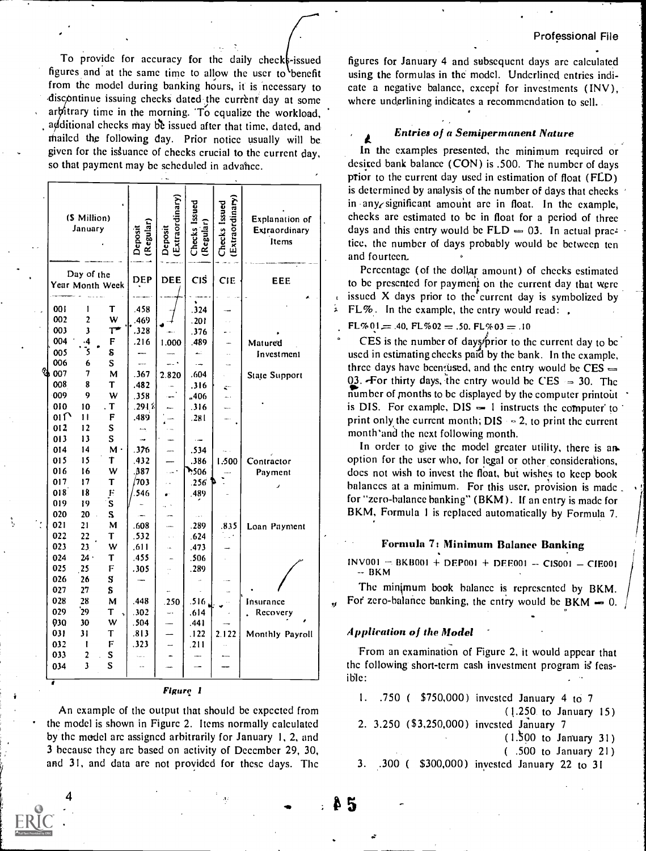To provide for accuracy for the daily checks-issued figures and at the same time to allow the user to benefit from the model during banking hours, it is necessary to discontinue issuing checks dated the current day at some arbitrary time in the morning. To equalize the workload, additional checks may be issued after that time, dated, and mailed the following day. Prior notice usually will be given for the issuance of checks crucial to the current day, so that payment may be scheduled in advance.

|        | (\$ Million)<br>January |                         | (Regular)<br>Deposit | [Extraordinary]<br>Deposit | Checks Issued<br>(Regular) | Extraordinary<br>Checks Issued | Explanation of<br>Extraordinary<br>Items |
|--------|-------------------------|-------------------------|----------------------|----------------------------|----------------------------|--------------------------------|------------------------------------------|
|        | Day of the              | Year Month Week         | <b>DEP</b>           | DEE                        | Cis                        | <b>CIE</b>                     | <b>EEE</b>                               |
|        |                         |                         |                      |                            |                            |                                |                                          |
| 001    | I                       | Τ                       | .458                 |                            | .324                       |                                |                                          |
| 002    | $\overline{c}$          | W                       | .469                 |                            | .201                       |                                |                                          |
| 003    | 3                       | Τ٦                      | .328                 |                            | .376                       | μ.                             |                                          |
| 004    | .4                      | F                       | .216                 | 1.000                      | .489                       |                                | Matured                                  |
| 005    | .<br>5                  | S                       |                      |                            | لتبع                       | μ.                             | Investment                               |
| 006    | 6                       | $\mathbf S$             | ш.,                  |                            |                            | i.                             |                                          |
| st 007 | 7                       | M                       | .367                 | 2.820                      | .604                       |                                | State Support                            |
| 008    | 8                       | T                       | .482                 |                            | .316                       | ξ÷,                            |                                          |
| 009    | 9                       | W                       | .358                 |                            | ,406                       | L.                             |                                          |
| 010    | 10                      | $\cdot$ T               | .291≴                |                            | .316                       |                                |                                          |
| 011    | п                       | F                       | .489                 |                            | .281                       |                                |                                          |
| 012    | 12                      | S                       | щ.                   |                            |                            |                                |                                          |
| 013    | 13                      | S                       | ÷.                   |                            | $\overline{\phantom{a}}$   |                                |                                          |
| 014    | 14                      | $M \cdot$               | .376                 |                            | .534                       |                                |                                          |
| 015    | 15                      | Τ                       | .432                 |                            | .386                       | 1.500                          | Contractor                               |
| 016    | 16                      | W                       | .B87                 |                            | <b>7506</b>                |                                | Payment                                  |
| 017    | 17                      | T                       | 703                  |                            | .256                       |                                |                                          |
| 018    | 18                      | Ë                       | 546                  |                            | 489                        |                                |                                          |
| 019    | 19                      | $\overline{\mathbf{s}}$ |                      |                            |                            |                                |                                          |
| 020    | 20                      | S                       |                      |                            | $\frac{1}{2}$              |                                |                                          |
| 021    | 21                      | м                       | .608                 |                            | .289                       | .835                           | Loan Payment                             |
| 022    | 22                      | T                       | .532                 |                            | .624                       |                                |                                          |
| 023    | 23                      | w                       | .611                 |                            | .473                       |                                |                                          |
| 024    | 24.                     | Τ                       | .455                 |                            | .506                       |                                |                                          |
| 025    | 25                      | F                       | .305                 |                            | .289                       |                                |                                          |
| 026    | 26                      | S                       |                      |                            |                            |                                |                                          |
| 027    | 27                      | S                       |                      |                            |                            |                                |                                          |
| 028    | 28                      | М                       | .448                 | .250                       | .516.                      |                                | Insurance                                |
| 029    | 29                      | т                       | .302                 |                            | .614                       |                                | Recovery                                 |
| 030    | 30                      | W                       | .504                 |                            | .441                       |                                |                                          |
| 031    | 31                      | T                       | .813                 |                            | . 122                      | 2.122                          | Monthly Payroll                          |
| 032    | t                       | F                       | .323                 | <u>.</u>                   | .211                       |                                |                                          |
| 033    | 2                       | S                       |                      |                            |                            |                                |                                          |
| 034    | Ĵ                       | S                       |                      |                            |                            |                                |                                          |
|        |                         |                         |                      |                            |                            |                                |                                          |

#### **Figure 1**

An example of the output that should be expected from the model is shown in Figure 2. Items normally calculated by the model are assigned arbitrarily for January 1, 2, and 3 because they are based on activity of December 29, 30, and 31, and data are not provided for these days. The

figures for January 4 and subsequent days are calculated using the formulas in the model. Underlined entries indicate a negative balance, except for investments (INV), where underlining indicates a recommendation to sell.

## **Entries of a Semipermanent Nature**

In the examples presented, the minimum required or desired bank balance (CON) is .500. The number of days prior to the current day used in estimation of float (FLD) is determined by analysis of the number of days that checks in any significant amount are in float. In the example, checks are estimated to be in float for a period of three days and this entry would be  $FLD = 03$ . In actual practice, the number of days probably would be between ten and fourteen.

Percentage (of the dollar amount) of checks estimated to be presented for payment on the current day that were issued X days prior to the current day is symbolized by FL%. In the example, the entry would read:.

#### $FL%01 = .40, FL%02 = .50, FL%03 = .10$

4

CES is the number of days prior to the current day to be used in estimating checks paid by the bank. In the example, three days have been fused, and the entry would be  $CES =$ 03. For thirty days, the entry would be CES  $\approx$  30. The number of months to be displayed by the computer printout is DIS. For example,  $DIS - 1$  instructs the computer to print only the current month;  $DIS = 2$ , to print the current month and the next following month.

In order to give the model greater utility, there is an option for the user who, for legal or other considerations, does not wish to invest the float, but wishes to keep book balances at a minimum. For this user, provision is made for "zero-balance banking" (BKM). If an entry is made for BKM, Formula 1 is replaced automatically by Formula 7.

#### Formula 7: Minimum Balance Banking

 $INV001 - BKBO01 + DEPO01 + DEE001 - CISO01 - CIE001$  $-$  BKM

The minimum book balance is represented by BKM. For zero-balance banking, the entry would be  $BKM = 0$ .

# **Application of the Model**

From an examination of Figure 2, it would appear that the following short-term cash investment program is feasible:

- .750 (\$750,000) invested January 4 to 7 1.  $(1.250.$  to January 15)
- 2. 3.250 (\$3,250,000) invested January 7
	- $(1.500)$  to January 31)
	- (.500 to January 21)

.300 (\$300,000) invested January 22 to 31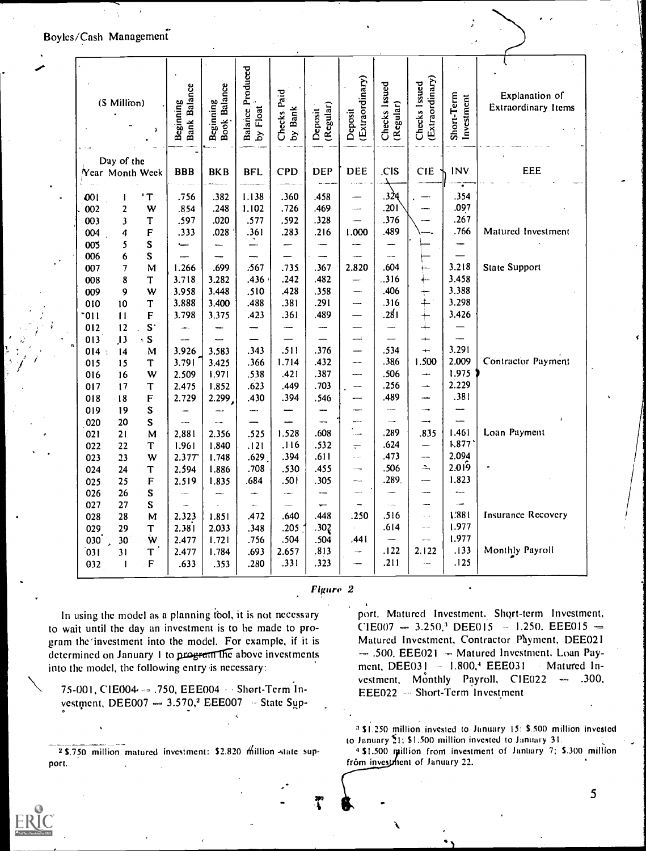# Boyles/Cash Management

|            | (\$ Million)                  |                  | Bank Balance | Beginning<br>Book Balance | <b>Balance Produced</b> |                                 |                      | Extraordinary)     | Checks Issued            | Extraordinary)<br>Checks Issued |                          | Explanation of<br><b>Extraordinary Items</b> |
|------------|-------------------------------|------------------|--------------|---------------------------|-------------------------|---------------------------------|----------------------|--------------------|--------------------------|---------------------------------|--------------------------|----------------------------------------------|
|            |                               | $\lambda$        | Beginning    |                           | by Float                | Checks Paid<br><b>Bank</b><br>à | (Regular)<br>Deposit | Deposit            | (Regular)                |                                 | Short-Term<br>Investment |                                              |
|            |                               |                  |              |                           |                         |                                 |                      |                    |                          |                                 |                          |                                              |
|            | Day of the<br>Year Month Week |                  | <b>BBB</b>   | <b>BKB</b>                | <b>BFL</b>              | CPD                             | <b>DEP</b>           | <b>DEE</b>         | C <sub>is</sub>          | <b>CIE</b>                      | <b>INV</b>               | EEE                                          |
| 001        | ı                             | $\cdot$ T        | .756         | .382                      | 1.138                   | .360                            | .458                 |                    | .324                     |                                 | .354                     |                                              |
| 002        | $\overline{2}$                | W                | .854         | .248                      | 1.102                   | .726                            | .469                 | ----               | .201                     |                                 | .097                     |                                              |
| 003        | $\overline{\mathbf{3}}$       | T                | .597         | .020                      | .577                    | .592                            | .328                 |                    | .376                     |                                 | .267                     |                                              |
| 004        | 4                             | F                | .333         | .028                      | .361                    | .283                            | .216                 | 1.000              | .489                     |                                 | .766                     | Matured Investment                           |
| 005        | 5                             | S                |              |                           | —                       |                                 |                      |                    |                          |                                 |                          |                                              |
| 006        | 6                             | S                |              |                           |                         |                                 |                      |                    | --                       |                                 |                          |                                              |
| 007        | 7                             | M                | 1.266        | .699                      | .567                    | .735                            | .367                 | 2.820              | .604                     |                                 | 3.218                    | <b>State Support</b>                         |
| 008        | 8                             | T                | 3.718        | 3.282                     | .436                    | .242                            | .482                 |                    | .316                     |                                 | 3.458                    |                                              |
| 009        | 9                             | W                | 3.958        | 3.448                     | .510                    | .428                            | .358                 |                    | .406                     | $\frac{1}{+}$                   | 3.388                    |                                              |
| 010        | 10                            | T                | 3.888        | 3.400                     | .488                    | .381                            | .291                 | ----               | .316                     |                                 | 3.298                    |                                              |
| $-011$     | $\mathbf{H}$                  | F                | 3.798        | 3.375                     | .423                    | .361                            | .489                 |                    | ا 28.                    | $\pm$                           | 3.426                    |                                              |
| 012        | 12                            | S                | ima i        |                           |                         |                                 |                      |                    |                          | $\div$                          |                          |                                              |
| 013        | 13                            | $\cdot$ S        |              |                           |                         |                                 |                      | mi.                | $\overline{\phantom{0}}$ | ┿                               |                          |                                              |
| 014        | $\overline{14}$               | M                | 3.926        | 3.583                     | .343                    | .511                            | .376                 | —                  | .534                     | $\rightarrow$                   | 3.291                    |                                              |
| 015        | 15                            | T                | 3.791        | 3.425                     | .366                    | 1.714                           | .432                 | --                 | .386                     | 1.500                           | 2.009                    | <b>Contractor Payment</b>                    |
| 016        | 16                            | W                | 2.509        | 1.971                     | .538                    | .421                            | .387                 |                    | .506                     |                                 | 1.975                    |                                              |
| 017        | 17                            | T                | 2.475        | 1.852                     | .623                    | .449                            | .703                 |                    | .256                     | →                               | 2.229                    |                                              |
| 018        | $-18$                         | $\mathsf F$      | 2.729        | 2.299                     | .430                    | .394                            | .546                 |                    | .489                     | ---                             | .381                     |                                              |
| 019        | 19                            | S                |              |                           |                         |                                 |                      |                    |                          | —                               |                          |                                              |
| 020        | 20                            | S                |              |                           |                         |                                 | ---                  |                    | .289                     | ---                             | 1.461                    | Loan Payment                                 |
| 021        | 21                            | M                | 2,881        | 2.356                     | .525                    | 1.528                           | .608                 | $\sim$             | .624                     | .835                            | 1.877                    |                                              |
| 022        | 22                            | T                | 1.961        | 1.840                     | .121                    | .116<br>.394                    | .532<br>.611         | $\div$<br>$\ldots$ | .473                     | —<br>--                         | 2.094                    |                                              |
| 023        | 23                            | W                | 2.377        | 1.748                     | .629<br>.708            | .530                            | .455                 | $\sim$             | .506                     | Δ.                              | 2.019                    |                                              |
| 024        | 24                            | T<br>$\mathbf F$ | 2.594        | 1.886                     | .684                    | .501                            | .305                 | <br>               | .289.                    |                                 | 1.823                    |                                              |
| 025        | 25<br>26                      | $\mathbf S$      | 2.519        | 1.835                     |                         | and a                           |                      | men.               |                          | ----                            |                          |                                              |
| 026<br>027 | 27                            | $\mathbf S$      |              |                           | ÷.                      |                                 | ÷                    |                    |                          | $\overline{a}$                  |                          |                                              |
| 028        | 28                            | M                | 2.323        | 1.851                     | .472                    | .640                            | .448                 | .250               | .516                     | $\sim$ $\sim$                   | 1.881                    | <b>Insurance Recovery</b>                    |
| 029        | 29                            | T                | 2.381        | 2.033                     | .348                    | .205                            | .302                 |                    | .614                     | $-$                             | 1.977                    |                                              |
| 030        | 30                            | Ŵ                | 2.477        | 1.721                     | .756                    | .504                            | .504                 | .441               |                          |                                 | 1.977                    |                                              |
| 031        | 31                            | T                | 2.477        | 1.784                     | .693                    | 2.657                           | .813                 | --                 | .122                     | 2.122                           | .133                     | Monthly Payroll                              |
| 032        | 1                             | $\mathbf F$      | .633         | .353                      | .280                    | .331                            | .323                 | -                  | .211                     | $\sim$                          | .125                     |                                              |
|            |                               |                  |              |                           |                         |                                 |                      |                    |                          |                                 |                          |                                              |

Figure 2

In using the model as a planning tool, it is not necessary to wait until the day an investment is to be made to program the investment into the model. For example, if it is determined on January 1 to program the above investments into the model, the following entry is necessary:

75-001, CIE004 -- . 750, EEE004 -- Short-Term Investment, DEE007  $- 3.570$ ,<sup>2</sup> EEE007 -- State Sup-

2 \$.750 million matured investment: \$2.820 million state support.

port, Matured Investment. Short-term Investment,  $CIE007 - 3.250$ <sup>3</sup> DEE015 - 1.250, EEE015 -Matured Investment, Contractor Payment, DEE021  $-$  .500, EEE021  $-$  Matured Investment. Loan Payment, DEE031 - 1.800,4 EEE031 Matured Investment, Monthly Payroll, C1E022  $-.300,$ EEE022 - Short-Term Investment

<sup>3</sup> \$1.250 million invested to January 15: \$.500 million invested to January 21: \$1.500 million invested to January 31.

4 \$1.500 million from investment of January 7; \$.300 million from investment of January 22.

5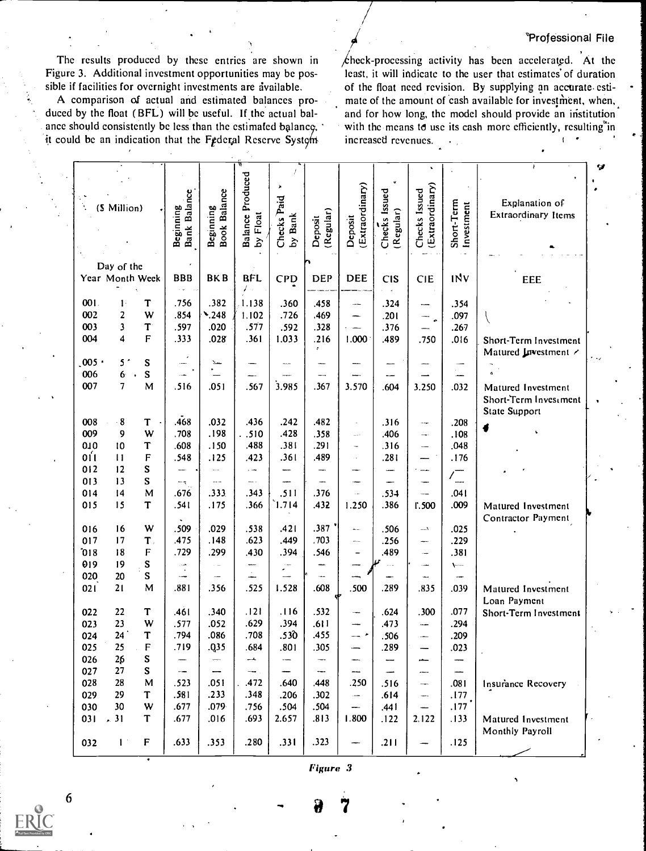The results produced by these entries are shown in Figure 3. Additional investment opportunities may be possible if facilities for overnight investments are available.

A comparison of actual and estimated balances produced by the float (BFL) will be useful. If the actual balance should consistently be less than the estimated balance, it could be an indication that the Federal Reserve System

 $\measuredangle$ heck-processing activity has been accelerated. At the least, it will indicate to the user that estimates of duration of the float need revision. By supplying an accurate estimate of the amount of cash available for investment, when, and for how long, the model should provide an institution with the means to use its cash more efficiently, resulting in increased revenues.  $\star_{\rm{out}}$ 

|       |                 |              |                           |                           |                           | $\lambda$              |                      |                            |                            |                                  |                          |                       |  |
|-------|-----------------|--------------|---------------------------|---------------------------|---------------------------|------------------------|----------------------|----------------------------|----------------------------|----------------------------------|--------------------------|-----------------------|--|
|       |                 |              |                           |                           | Produced                  |                        |                      |                            |                            |                                  |                          |                       |  |
|       |                 |              |                           |                           |                           |                        |                      |                            |                            |                                  |                          | Explanation of        |  |
|       | (\$ Million)    |              |                           |                           |                           |                        |                      |                            |                            |                                  |                          | Extraordinary Items   |  |
|       |                 |              |                           |                           |                           |                        |                      |                            |                            |                                  |                          |                       |  |
|       |                 |              | Bank Balance<br>Beginning | Beginning<br>Book Balance | by Float<br>Balance       | Checks Paid<br>by Bank | (Regular)<br>Deposit | (Extraordinary)<br>Deposit | Checks Issued<br>(Regular) | (Extraordinary)<br>Checks Issued | Short-Term<br>Investment |                       |  |
|       |                 |              |                           |                           |                           |                        |                      |                            |                            |                                  |                          |                       |  |
|       |                 |              |                           |                           |                           |                        |                      |                            |                            |                                  |                          |                       |  |
|       |                 |              |                           |                           |                           |                        |                      |                            |                            |                                  |                          |                       |  |
|       | Day of the      |              |                           |                           |                           |                        |                      |                            |                            |                                  |                          |                       |  |
|       | Year Month Week |              | <b>BBB</b>                | <b>BKB</b>                | <b>BFL</b>                | <b>CPD</b>             | <b>DEP</b>           | <b>DEE</b>                 | <b>CIS</b>                 | <b>CIE</b>                       | <b>INV</b>               | EEE                   |  |
|       |                 |              |                           |                           |                           |                        |                      |                            |                            |                                  |                          |                       |  |
|       |                 |              |                           |                           |                           |                        |                      |                            |                            |                                  |                          |                       |  |
| 001.  | $\mathbf{I}$    | T            | .756                      | .382                      | 1.138                     | .360                   | .458                 | --                         | .324                       | --                               | .354                     |                       |  |
| 002   | $\overline{2}$  | W            | .854                      | $\sum_{.} 248$            | 1.102                     | .726                   | .469                 | —                          | .201                       | $\overline{\phantom{a}}$         | .097                     |                       |  |
| 003   | 3               | $\mathbf{T}$ | .597                      | .020                      | .577                      | .592                   | .328                 |                            | .376                       |                                  | .267                     |                       |  |
| 004   | 4               | F            | .333                      | .028                      | .361                      | 1.033                  | .216                 | 1.000                      | .489                       | .750                             | .016                     |                       |  |
|       |                 |              |                           |                           |                           |                        | $\mathcal{P}$        |                            |                            |                                  |                          | Short-Term Investment |  |
|       |                 |              |                           |                           |                           |                        |                      |                            |                            |                                  |                          | Matured Investment /  |  |
| 005   | 5 <sup>′</sup>  | S            |                           | جعلا                      |                           |                        |                      |                            |                            |                                  |                          |                       |  |
| 006   | 6 <sup>°</sup>  | $\mathbf S$  |                           |                           |                           |                        |                      |                            |                            |                                  |                          |                       |  |
| 007   | $\overline{7}$  | M            | .516                      | .051                      | .567                      | 3.985                  | .367                 | 3.570                      | .604                       | 3.250                            | .032                     | Matured Investment    |  |
|       |                 |              |                           |                           |                           |                        |                      |                            |                            |                                  |                          |                       |  |
|       |                 |              |                           |                           |                           |                        |                      |                            |                            |                                  |                          | Short-Term Investment |  |
|       |                 |              |                           |                           |                           |                        |                      |                            |                            |                                  |                          | State Support         |  |
| 008   | $\cdot$ 8       | T            | .468                      | .032                      | .436                      | .242                   | .482                 | Ĭ.                         | .316                       | نيب                              | .208                     |                       |  |
| 009   | 9               | W            | .708                      | .198                      | . .510                    | .428                   | .358                 | $\frac{1}{2}$              | .406                       | ц.                               | .108                     | 4                     |  |
| 010   | 10              | T            | .608                      | .150                      | .488                      | .381                   | .291                 | $\overline{\phantom{a}}$   | .316                       |                                  | .048                     |                       |  |
|       |                 |              |                           |                           |                           |                        |                      |                            |                            | -                                |                          |                       |  |
| 0 I 1 | $\mathbf{11}$   | F            | .548                      | .125                      | .423                      | .361                   | .489                 | ò.                         | .281                       | -----                            | .176                     |                       |  |
| 012   | 12              | S            |                           |                           | $\sim$                    |                        | —                    | ---                        |                            | $\overline{\phantom{a}}$         |                          |                       |  |
| 013   | 13              | S            | ÷,                        |                           |                           | ----                   |                      |                            |                            | ----                             | $\frac{1}{2}$            |                       |  |
| 014   | 4               | M            | .676                      | .333                      | .343                      | .511                   | .376                 | $\ddot{\phantom{a}}$       | .534                       |                                  | .041                     |                       |  |
|       |                 |              |                           |                           |                           |                        |                      |                            |                            |                                  |                          |                       |  |
| 015   | 15              | T            | .541                      | .175                      | .366                      | 1.714                  | .432                 | 1.250                      | .386                       | 1.500                            | .009                     | Matured Investment    |  |
|       |                 |              |                           |                           |                           |                        |                      |                            |                            |                                  |                          | Contractor Payment    |  |
| 016   | 16              | W            | .509                      | .029                      | .538                      | .421                   | .387                 | $\leftarrow$               | .506                       | $\overline{\phantom{a}}$         | .025                     |                       |  |
| 017   | 17              | T,           | .475                      | .148                      | .623                      | .449                   | .703                 | $\cdots$                   | .256                       | -                                | .229                     |                       |  |
| 018   | 18              | F            | .729                      | .299                      | .430                      | .394                   | .546                 | -                          | .489                       | $\overline{a}$                   | .381                     |                       |  |
|       |                 |              |                           |                           |                           |                        |                      |                            |                            |                                  |                          |                       |  |
| 019   | 19              | ${\bf S}$    | $\sim$ $\sim$             |                           | -                         | рт.<br>А               |                      |                            |                            | ---                              | $\leftarrow$             |                       |  |
| 020   | 20              | S            | $\overline{\phantom{a}}$  | $\sim$                    | $\stackrel{\circ}{\cdot}$ |                        | in.                  |                            |                            | ÷.                               |                          |                       |  |
| 021   | 21              | M            | .881                      | .356                      | .525                      | 1.528                  | .608                 | .500                       | .289                       | .835                             | .039                     | Matured Investment    |  |
|       |                 |              |                           |                           |                           |                        |                      | Φ                          |                            |                                  |                          | Loan Payment          |  |
| 022   | 22              | T            | .461                      | .340                      | .121                      | .116                   | .532                 | <u></u>                    | .624                       | .300                             | .077                     |                       |  |
|       |                 |              |                           |                           |                           |                        |                      |                            |                            |                                  |                          | Short-Term Investment |  |
| 023   | 23              | W            | .577                      | .052                      | .629                      | .394                   | .611                 |                            | .473                       | $\overline{\phantom{a}}$         | .294                     |                       |  |
| 024   | 24 <sup>°</sup> | T            | .794                      | .086                      | .708                      | .530                   | .455                 | — *                        | .506                       | $\overline{\phantom{a}}$         | .209                     |                       |  |
| 025   | 25              | F            | 719                       | Q35.                      | 684                       | 801                    | 305                  |                            | 289                        |                                  | .023                     |                       |  |
| 026   | 26              | ${\bf S}$    |                           | ÷,                        | ᅭ                         | ---                    |                      | ⊷                          |                            |                                  |                          |                       |  |
| 027   | 27              | S            |                           |                           | $\sim$ $\sim$             |                        |                      | ---                        |                            |                                  |                          |                       |  |
|       |                 |              |                           |                           |                           |                        |                      |                            |                            | ÷                                |                          |                       |  |
| 028   | 28              | M            | .523                      | .051                      | .472                      | .640                   | .448                 | .250                       | .516                       | $\sim$                           | .081                     | Insurance Recovery    |  |
| 029   | 29              | T            | .581                      | .233                      | .348                      | .206                   | .302                 | $\overline{\phantom{a}}$   | .614                       | $\overline{\phantom{a}}$         | .177                     |                       |  |
| 030   | 30              | W            | .677                      | .079                      | .756                      | .504                   | .504                 | --                         | .441                       | ÷                                | $.177$ $^\circ$          |                       |  |
| 031   | .31             | T            | .677                      | .016                      | .693                      | 2.657                  | .813                 | 1.800                      | .122                       | 2.122                            | .133                     | Matured Investment    |  |
|       |                 |              |                           |                           |                           |                        |                      |                            |                            |                                  |                          |                       |  |
|       |                 |              |                           |                           |                           |                        |                      |                            |                            |                                  |                          | Monthly Payroll       |  |
| 032   | 1 <sup>2</sup>  | F            | .633                      | .353                      | .280                      | .331                   | .323                 |                            | .211                       |                                  | .125                     |                       |  |
|       |                 |              |                           |                           |                           |                        |                      |                            |                            |                                  |                          |                       |  |

Figure 3

6